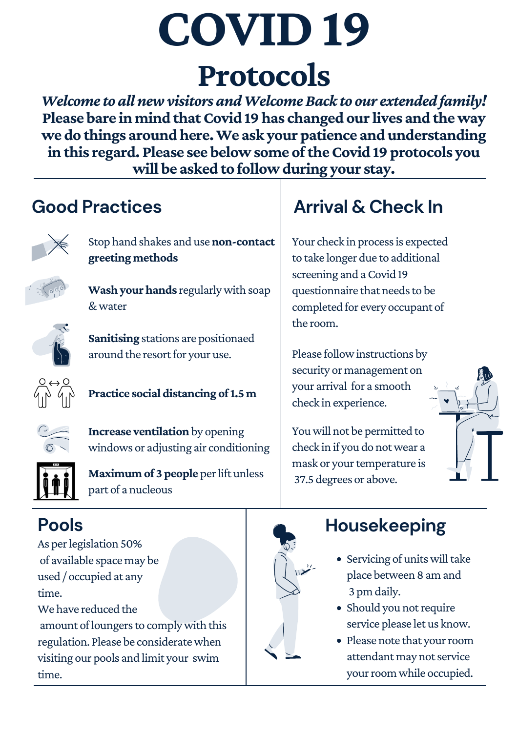Youwill not be permitted to check in if you do notwear a mask or your temperature is 37.5 degrees or above.

# **COVID19 Protocols**

*Welcome to all newvisitors andWelcomeBack to our extended family!* **Please bare in mind that Covid 19 has changed our lives and the way we do things aroundhere.We ask your patience and understanding inthis regard. Please see belowsome oftheCovid 19 protocols you will be asked to followduring your stay.**

> Your check in process is expected to take longer due to additional screening and a Covid 19 questionnaire that needs to be completed for every occupant of the room.

Please follow instructions by security or management on your arrival for a smooth





#### **Practice social distancing** of 1.5 **m**

**Wash your hands** regularly with soap &water

**Sanitising** stations are positionaed around the resort for your use.





# **Arrival & Check In**

# **Housekeeping**

- Servicing of units will take place between 8 am and 3 pm daily.
- Should you notrequire service please let us know.
- Please note that your room attendant may not service your room while occupied.

**Increase ventilation** by opening windows or adjusting air conditioning



amount of loungers to comply with this regulation. Please be consideratewhen visiting our pools and limit your swim time.



check in experience.

Stop hand shakes and use**non-contact greeting methods**



## **Good Practices**



# **Pools**

As perlegislation 50% of available space may be used / occupied at any time.

We have reduced the

**Maximum of 3 people** perlift unless part of a nucleous